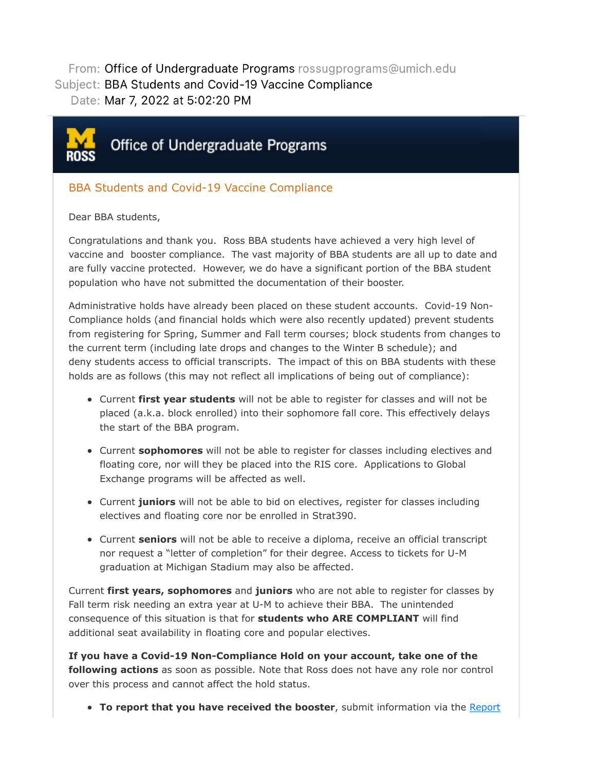From: Office of Undergraduate Programs rossugprograms@umich.edu Subject: BBA Students and Covid-19 Vaccine Compliance Date: Mar 7, 2022 at 5:02:20 PM



## Office of Undergraduate Programs

## BBA Students and Covid-19 Vaccine Compliance

## Dear BBA students,

Congratulations and thank you. Ross BBA students have achieved a very high level of vaccine and booster compliance. The vast majority of BBA students are all up to date and are fully vaccine protected. However, we do have a significant portion of the BBA student population who have not submitted the documentation of their booster.

Administrative holds have already been placed on these student accounts. Covid-19 Non-Compliance holds (and financial holds which were also recently updated) prevent students from registering for Spring, Summer and Fall term courses; block students from changes to the current term (including late drops and changes to the Winter B schedule); and deny students access to official transcripts. The impact of this on BBA students with these holds are as follows (this may not reflect all implications of being out of compliance):

- Current **first year students** will not be able to register for classes and will not be placed (a.k.a. block enrolled) into their sophomore fall core. This effectively delays the start of the BBA program.
- Current **sophomores** will not be able to register for classes including electives and floating core, nor will they be placed into the RIS core. Applications to Global Exchange programs will be affected as well.
- Current **juniors** will not be able to bid on electives, register for classes including electives and floating core nor be enrolled in Strat390.
- Current **seniors** will not be able to receive a diploma, receive an official transcript nor request a "letter of completion" for their degree. Access to tickets for U-M graduation at Michigan Stadium may also be affected.

Current **first years, sophomores** and **juniors** who are not able to register for classes by Fall term risk needing an extra year at U-M to achieve their BBA. The unintended consequence of this situation is that for **students who ARE COMPLIANT** will find additional seat availability in floating core and popular electives.

**If you have a Covid-19 Non-Compliance Hold on your account, take one of the following actions** as soon as possible. Note that Ross does not have any role nor control over this process and cannot affect the hold status.

**To report that you have received the booster**, submit information via the Report